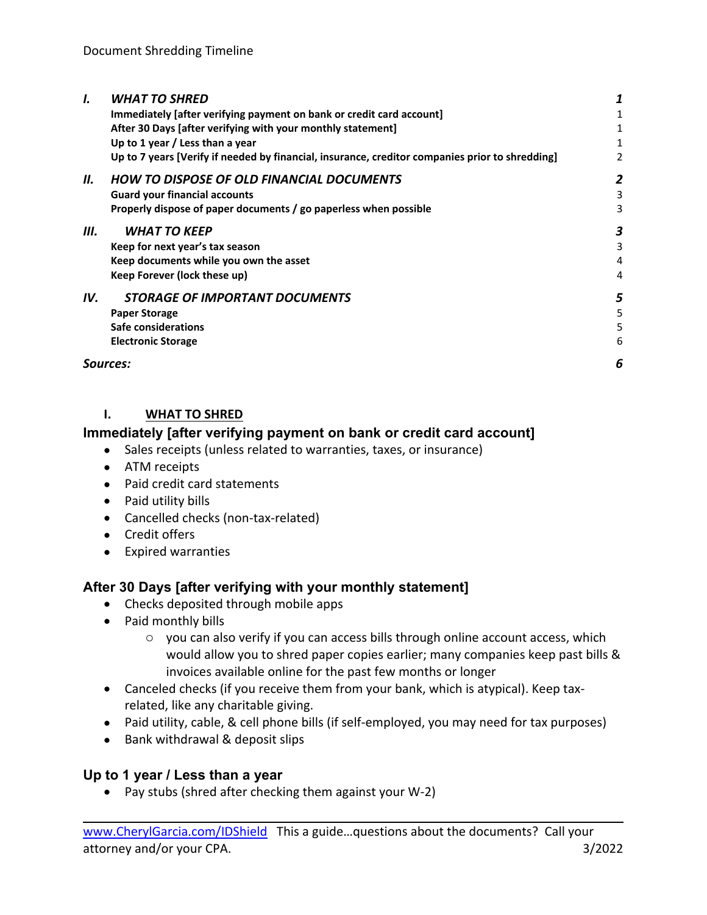| I.       | <b>WHAT TO SHRED</b>                                                                            |   |  |
|----------|-------------------------------------------------------------------------------------------------|---|--|
|          | Immediately [after verifying payment on bank or credit card account]                            |   |  |
|          | After 30 Days [after verifying with your monthly statement]                                     |   |  |
|          | Up to 1 year / Less than a year                                                                 |   |  |
|          | Up to 7 years [Verify if needed by financial, insurance, creditor companies prior to shredding] |   |  |
| Н.       | <b>HOW TO DISPOSE OF OLD FINANCIAL DOCUMENTS</b>                                                |   |  |
|          | <b>Guard your financial accounts</b>                                                            |   |  |
|          | Properly dispose of paper documents / go paperless when possible                                |   |  |
| Ш.       | <b>WHAT TO KEEP</b>                                                                             |   |  |
|          | Keep for next year's tax season                                                                 |   |  |
|          | Keep documents while you own the asset                                                          |   |  |
|          | Keep Forever (lock these up)                                                                    |   |  |
| IV.      | <i><b>STORAGE OF IMPORTANT DOCUMENTS</b></i>                                                    |   |  |
|          | <b>Paper Storage</b>                                                                            |   |  |
|          | Safe considerations                                                                             |   |  |
|          | <b>Electronic Storage</b>                                                                       | h |  |
| Sources: |                                                                                                 | 6 |  |
|          |                                                                                                 |   |  |

#### **I. WHAT TO SHRED**

### **Immediately [after verifying payment on bank or credit card account]**

- Sales receipts (unless related to warranties, taxes, or insurance)
- ATM receipts
- Paid credit card statements
- Paid utility bills
- Cancelled checks (non-tax-related)
- Credit offers
- Expired warranties

# **After 30 Days [after verifying with your monthly statement]**

- Checks deposited through mobile apps
- Paid monthly bills
	- o you can also verify if you can access bills through online account access, which would allow you to shred paper copies earlier; many companies keep past bills & invoices available online for the past few months or longer
- Canceled checks (if you receive them from your bank, which is atypical). Keep taxrelated, like any charitable giving.
- Paid utility, cable, & cell phone bills (if self-employed, you may need for tax purposes)
- Bank withdrawal & deposit slips

### **Up to 1 year / Less than a year**

• Pay stubs (shred after checking them against your W-2)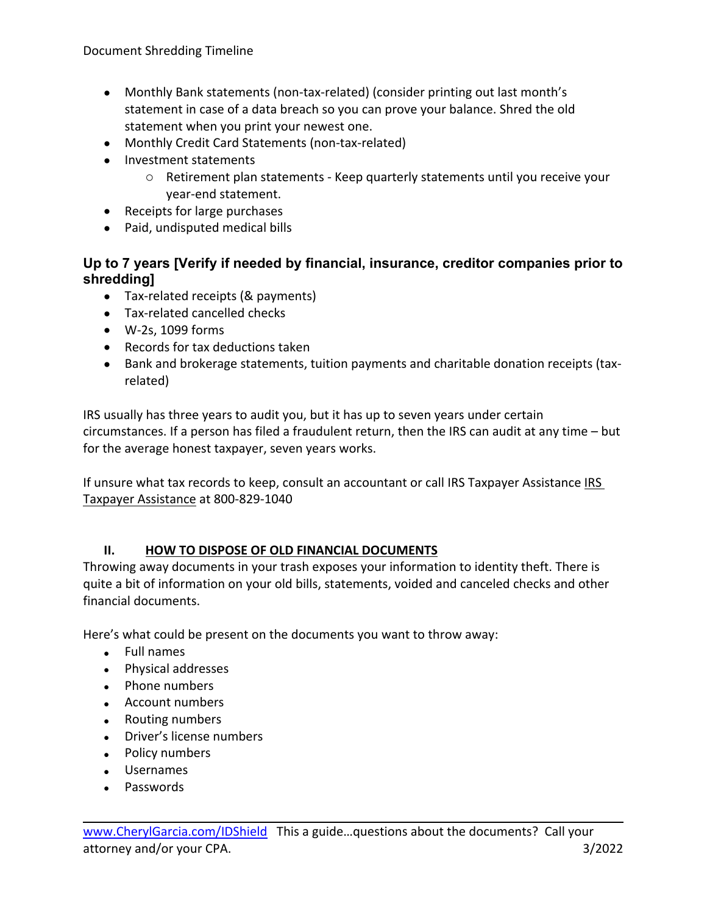- Monthly Bank statements (non-tax-related) (consider printing out last month's statement in case of a data breach so you can prove your balance. Shred the old statement when you print your newest one.
- Monthly Credit Card Statements (non-tax-related)
- Investment statements
	- o Retirement plan statements Keep quarterly statements until you receive your year-end statement.
- Receipts for large purchases
- Paid, undisputed medical bills

# **Up to 7 years [Verify if needed by financial, insurance, creditor companies prior to shredding]**

- Tax-related receipts (& payments)
- Tax-related cancelled checks
- W-2s, 1099 forms
- Records for tax deductions taken
- Bank and brokerage statements, tuition payments and charitable donation receipts (taxrelated)

IRS usually has three years to audit you, but it has up to seven years under certain circumstances. If a person has filed a fraudulent return, then the IRS can audit at any time – but for the average honest taxpayer, seven years works.

If unsure what tax records to keep, consult an accountant or call IRS Taxpayer Assistance IRS Taxpayer Assistance at 800-829-1040

### **II. HOW TO DISPOSE OF OLD FINANCIAL DOCUMENTS**

Throwing away documents in your trash exposes your information to identity theft. There is quite a bit of information on your old bills, statements, voided and canceled checks and other financial documents.

Here's what could be present on the documents you want to throw away:

- Full names
- Physical addresses
- Phone numbers
- Account numbers
- Routing numbers
- Driver's license numbers
- Policy numbers
- Usernames
- Passwords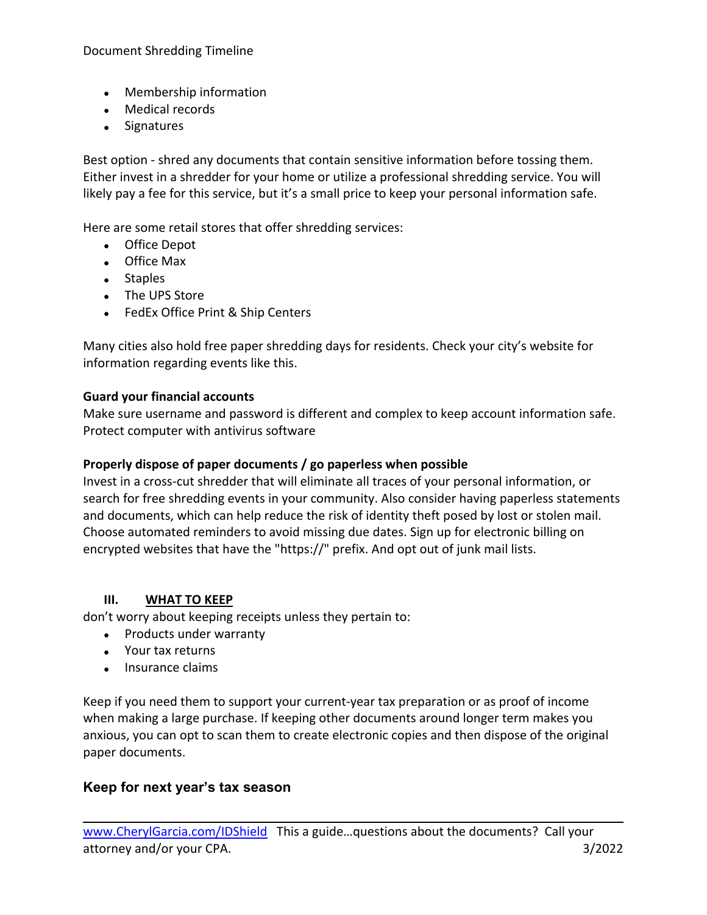- Membership information
- Medical records
- Signatures

Best option - shred any documents that contain sensitive information before tossing them. Either invest in a shredder for your home or utilize a professional shredding service. You will likely pay a fee for this service, but it's a small price to keep your personal information safe.

Here are some retail stores that offer shredding services:

- Office Depot
- Office Max
- Staples
- The UPS Store
- FedEx Office Print & Ship Centers

Many cities also hold free paper shredding days for residents. Check your city's website for information regarding events like this.

#### **Guard your financial accounts**

Make sure username and password is different and complex to keep account information safe. Protect computer with antivirus software

### **Properly dispose of paper documents / go paperless when possible**

Invest in a cross-cut shredder that will eliminate all traces of your personal information, or search for free shredding events in your community. Also consider having paperless statements and documents, which can help reduce the risk of identity theft posed by lost or stolen mail. Choose automated reminders to avoid missing due dates. Sign up for electronic billing on encrypted websites that have the "https://" prefix. And opt out of junk mail lists.

### **III. WHAT TO KEEP**

don't worry about keeping receipts unless they pertain to:

- Products under warranty
- Your tax returns
- Insurance claims

Keep if you need them to support your current-year tax preparation or as proof of income when making a large purchase. If keeping other documents around longer term makes you anxious, you can opt to scan them to create electronic copies and then dispose of the original paper documents.

### **Keep for next year's tax season**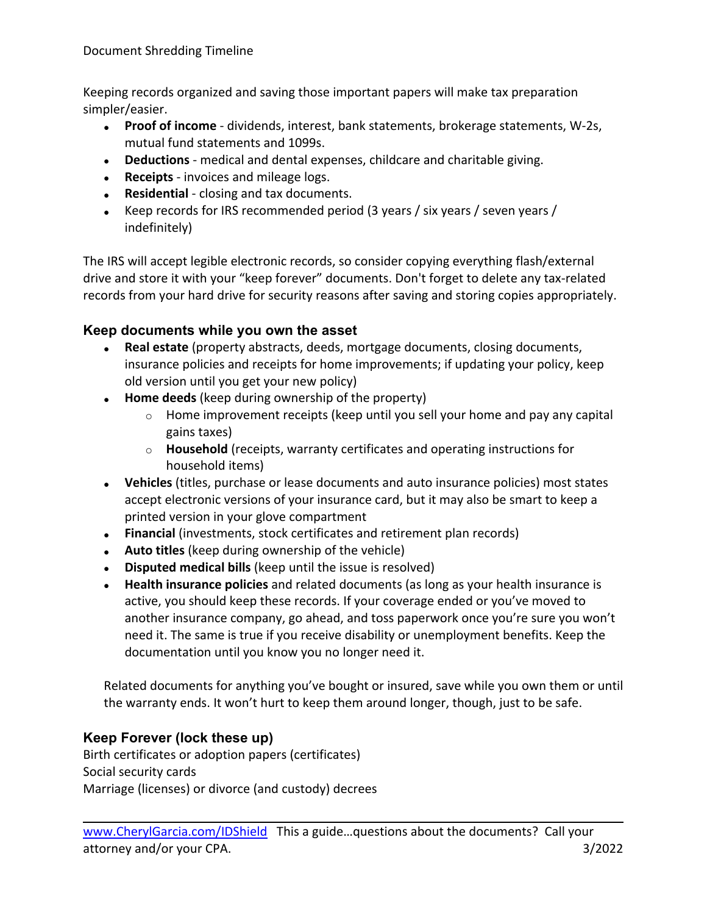Keeping records organized and saving those important papers will make tax preparation simpler/easier.

- **Proof of income** dividends, interest, bank statements, brokerage statements, W-2s, mutual fund statements and 1099s.
- **Deductions** medical and dental expenses, childcare and charitable giving.
- **Receipts** invoices and mileage logs.
- **Residential** closing and tax documents.
- Keep records for IRS recommended period (3 years / six years / seven years / indefinitely)

The IRS will accept legible electronic records, so consider copying everything flash/external drive and store it with your "keep forever" documents. Don't forget to delete any tax-related records from your hard drive for security reasons after saving and storing copies appropriately.

# **Keep documents while you own the asset**

- **Real estate** (property abstracts, deeds, mortgage documents, closing documents, insurance policies and receipts for home improvements; if updating your policy, keep old version until you get your new policy)
- **Home deeds** (keep during ownership of the property)
	- $\circ$  Home improvement receipts (keep until you sell your home and pay any capital gains taxes)
	- o **Household** (receipts, warranty certificates and operating instructions for household items)
- **Vehicles** (titles, purchase or lease documents and auto insurance policies) most states accept electronic versions of your insurance card, but it may also be smart to keep a printed version in your glove compartment
- **Financial** (investments, stock certificates and retirement plan records)
- **Auto titles** (keep during ownership of the vehicle)
- **Disputed medical bills** (keep until the issue is resolved)
- **Health insurance policies** and related documents (as long as your health insurance is active, you should keep these records. If your coverage ended or you've moved to another insurance company, go ahead, and toss paperwork once you're sure you won't need it. The same is true if you receive disability or unemployment benefits. Keep the documentation until you know you no longer need it.

Related documents for anything you've bought or insured, save while you own them or until the warranty ends. It won't hurt to keep them around longer, though, just to be safe.

# **Keep Forever (lock these up)**

Birth certificates or adoption papers (certificates) Social security cards Marriage (licenses) or divorce (and custody) decrees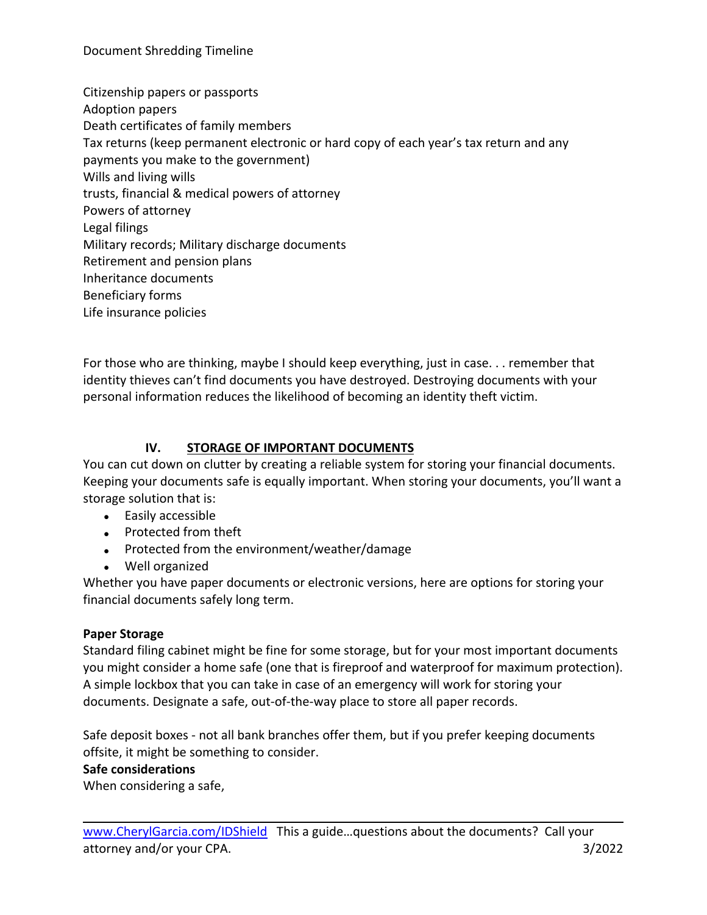Citizenship papers or passports Adoption papers Death certificates of family members Tax returns (keep permanent electronic or hard copy of each year's tax return and any payments you make to the government) Wills and living wills trusts, financial & medical powers of attorney Powers of attorney Legal filings Military records; Military discharge documents Retirement and pension plans Inheritance documents Beneficiary forms Life insurance policies

For those who are thinking, maybe I should keep everything, just in case. . . remember that identity thieves can't find documents you have destroyed. Destroying documents with your personal information reduces the likelihood of becoming an identity theft victim.

# **IV. STORAGE OF IMPORTANT DOCUMENTS**

You can cut down on clutter by creating a reliable system for storing your financial documents. Keeping your documents safe is equally important. When storing your documents, you'll want a storage solution that is:

- Easily accessible
- Protected from theft
- Protected from the environment/weather/damage
- Well organized

Whether you have paper documents or electronic versions, here are options for storing your financial documents safely long term.

### **Paper Storage**

Standard filing cabinet might be fine for some storage, but for your most important documents you might consider a home safe (one that is fireproof and waterproof for maximum protection). A simple lockbox that you can take in case of an emergency will work for storing your documents. Designate a safe, out-of-the-way place to store all paper records.

Safe deposit boxes - not all bank branches offer them, but if you prefer keeping documents offsite, it might be something to consider.

### **Safe considerations**

When considering a safe,